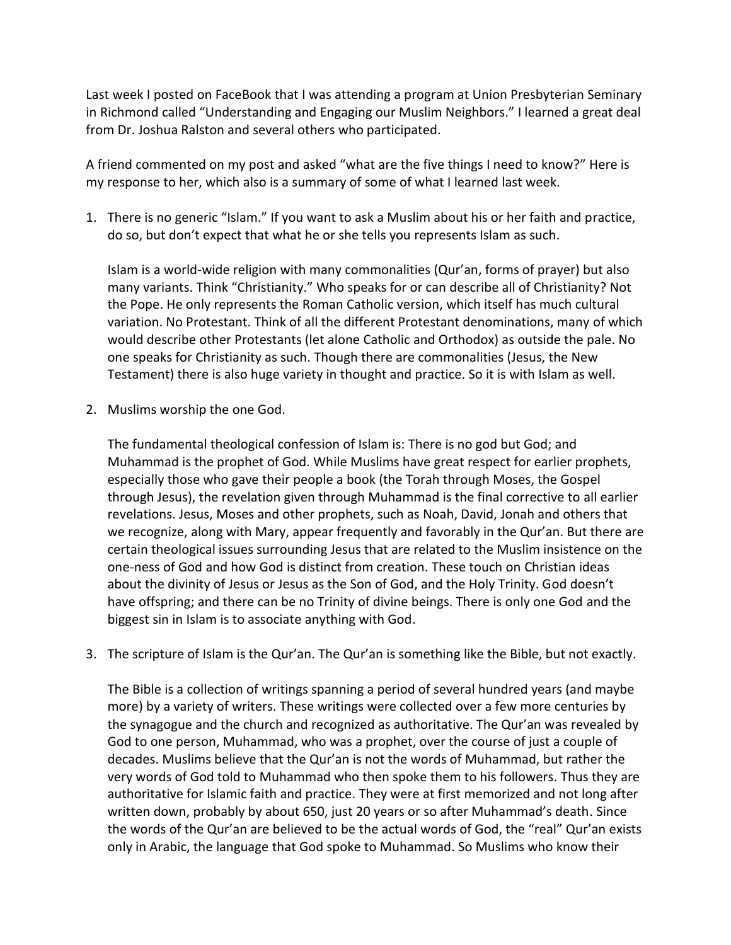Last week I posted on FaceBook that I was attending a program at Union Presbyterian Seminary in Richmond called "Understanding and Engaging our Muslim Neighbors." I learned a great deal from Dr. Joshua Ralston and several others who participated.

A friend commented on my post and asked "what are the five things I need to know?" Here is my response to her, which also is a summary of some of what I learned last week.

1. There is no generic "Islam." If you want to ask a Muslim about his or her faith and practice, do so, but don't expect that what he or she tells you represents Islam as such.

Islam is a world-wide religion with many commonalities (Qur'an, forms of prayer) but also many variants. Think "Christianity." Who speaks for or can describe all of Christianity? Not the Pope. He only represents the Roman Catholic version, which itself has much cultural variation. No Protestant. Think of all the different Protestant denominations, many of which would describe other Protestants (let alone Catholic and Orthodox) as outside the pale. No one speaks for Christianity as such. Though there are commonalities (Jesus, the New Testament) there is also huge variety in thought and practice. So it is with Islam as well.

2. Muslims worship the one God.

The fundamental theological confession of Islam is: There is no god but God; and Muhammad is the prophet of God. While Muslims have great respect for earlier prophets, especially those who gave their people a book (the Torah through Moses, the Gospel through Jesus), the revelation given through Muhammad is the final corrective to all earlier revelations. Jesus, Moses and other prophets, such as Noah, David, Jonah and others that we recognize, along with Mary, appear frequently and favorably in the Qur'an. But there are certain theological issues surrounding Jesus that are related to the Muslim insistence on the one-ness of God and how God is distinct from creation. These touch on Christian ideas about the divinity of Jesus or Jesus as the Son of God, and the Holy Trinity. God doesn't have offspring; and there can be no Trinity of divine beings. There is only one God and the biggest sin in Islam is to associate anything with God.

3. The scripture of Islam is the Qur'an. The Qur'an is something like the Bible, but not exactly.

The Bible is a collection of writings spanning a period of several hundred years (and maybe more) by a variety of writers. These writings were collected over a few more centuries by the synagogue and the church and recognized as authoritative. The Qur'an was revealed by God to one person, Muhammad, who was a prophet, over the course of just a couple of decades. Muslims believe that the Qur'an is not the words of Muhammad, but rather the very words of God told to Muhammad who then spoke them to his followers. Thus they are authoritative for Islamic faith and practice. They were at first memorized and not long after written down, probably by about 650, just 20 years or so after Muhammad's death. Since the words of the Qur'an are believed to be the actual words of God, the "real" Qur'an exists only in Arabic, the language that God spoke to Muhammad. So Muslims who know their